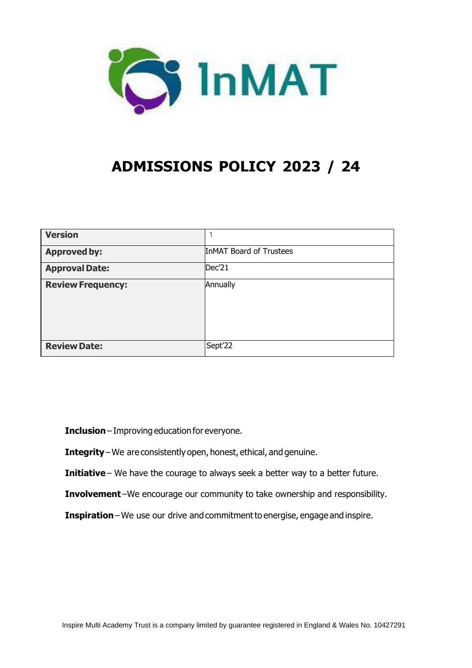

# **ADMISSIONS POLICY 2023 / 24**

| <b>Version</b>           |                                |
|--------------------------|--------------------------------|
| <b>Approved by:</b>      | <b>InMAT Board of Trustees</b> |
| <b>Approval Date:</b>    | Dec'21                         |
| <b>Review Frequency:</b> | Annually                       |
| <b>Review Date:</b>      | Sept'22                        |

**Inclusion**– Improving education for everyone.  

**Integrity**– We are consistently open, honest, ethical, and genuine.  

**Initiative** – We have the courage to always seek a better way to a better future.

**Involvement**–We encourage our community to take ownership and responsibility.  

**Inspiration**– We use our drive and commitment to energise, engage and inspire.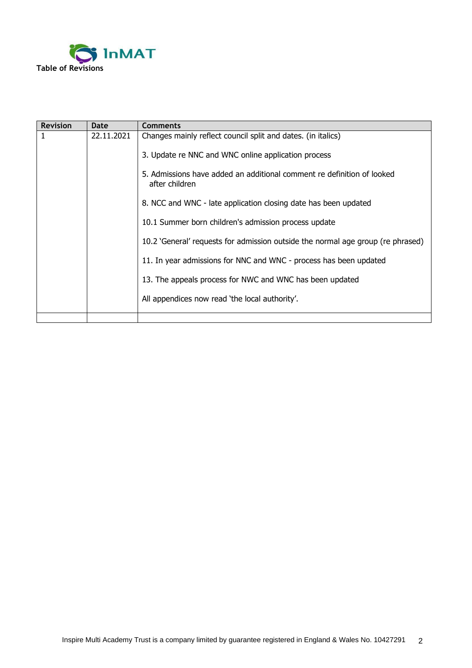

| <b>Revision</b> | Date                                                                                     | <b>Comments</b>                                |
|-----------------|------------------------------------------------------------------------------------------|------------------------------------------------|
| 22.11.2021      | Changes mainly reflect council split and dates. (in italics)                             |                                                |
|                 | 3. Update re NNC and WNC online application process                                      |                                                |
|                 | 5. Admissions have added an additional comment re definition of looked<br>after children |                                                |
|                 | 8. NCC and WNC - late application closing date has been updated                          |                                                |
|                 | 10.1 Summer born children's admission process update                                     |                                                |
|                 | 10.2 'General' requests for admission outside the normal age group (re phrased)          |                                                |
|                 | 11. In year admissions for NNC and WNC - process has been updated                        |                                                |
|                 | 13. The appeals process for NWC and WNC has been updated                                 |                                                |
|                 |                                                                                          | All appendices now read 'the local authority'. |
|                 |                                                                                          |                                                |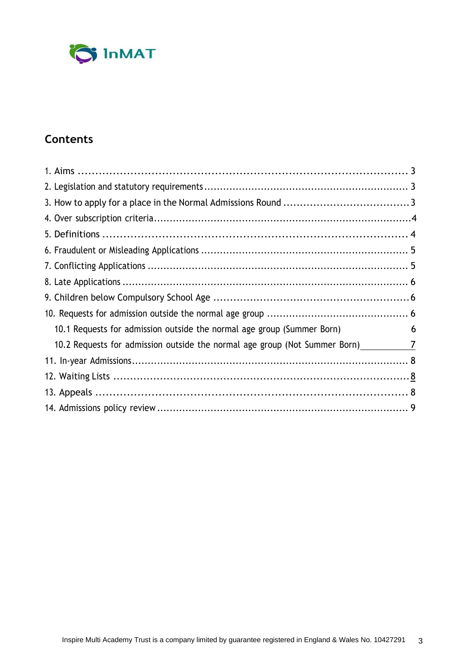

# **Contents**

| 10.1 Requests for admission outside the normal age group (Summer Born)<br>$\sim$ 6 |  |
|------------------------------------------------------------------------------------|--|
| 10.2 Requests for admission outside the normal age group (Not Summer Born) 1       |  |
|                                                                                    |  |
|                                                                                    |  |
|                                                                                    |  |
|                                                                                    |  |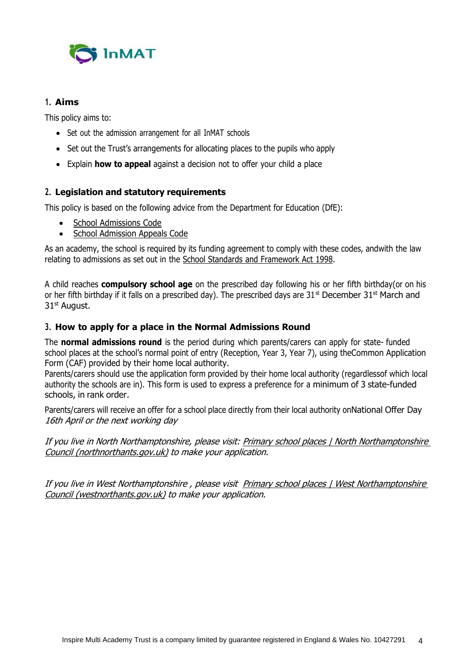

#### <span id="page-3-0"></span>**1. Aims**

This policy aims to:

- Set out the admission arrangement for all InMAT schools
- Set out the Trust's arrangements for allocating places to the pupils who apply
- Explain **how to appeal** against a decision not to offer your child a place

#### <span id="page-3-1"></span>**2. Legislation and statutory requirements**

This policy is based on the following advice from the Department for Education (DfE):

- School [Admissions](https://www.gov.uk/government/publications/school-admissions-code--2) Code
- School [Admission](https://www.gov.uk/government/publications/school-admissions-appeals-code) Appeals Code

As an academy, the school is required by its funding agreement to comply with these codes, andwith the law relating to admissions as set out in the School Standards and [Framework](http://www.legislation.gov.uk/ukpga/1998/31/contents) Act 1998.

A child reaches **compulsory school age** on the prescribed day following his or her fifth birthday(or on his or her fifth birthday if it falls on a prescribed day). The prescribed days are 31<sup>st</sup> December 31<sup>st</sup> March and 31st August.

#### <span id="page-3-2"></span>**3. How to apply for a place in the Normal Admissions Round**

The **normal admissions round** is the period during which parents/carers can apply for state- funded school places at the school's normal point of entry (Reception, Year 3, Year 7), using theCommon Application Form (CAF) provided by their home local authority.

Parents/carers should use the application form provided by their home local authority (regardlessof which local authority the schools are in). This form is used to express a preference for a minimum of 3 state-funded schools, in rank order.

Parents/carers will receive an offer for a school place directly from their local authority onNational Offer Day 16th April or the next working day

If you live in North Northamptonshire, please visit: Primary school places | North Northamptonshire [Council \(northnorthants.gov.uk\)](https://www.northnorthants.gov.uk/primary-school-places) to make your application.

If you live in West Northamptonshire, please visit Primary school places | West Northamptonshire [Council \(westnorthants.gov.uk\)](https://www.westnorthants.gov.uk/primary-school-places) to make your application.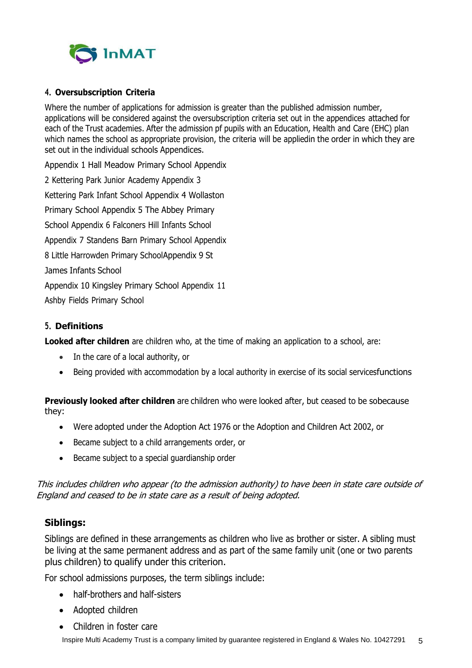

#### <span id="page-4-0"></span>**4. Oversubscription Criteria**

Where the number of applications for admission is greater than the published admission number, applications will be considered against the oversubscription criteria set out in the appendices attached for each of the Trust academies. After the admission pf pupils with an Education, Health and Care (EHC) plan which names the school as appropriate provision, the criteria will be appliedin the order in which they are set out in the individual schools Appendices.

Appendix 1 Hall Meadow Primary School Appendix 2 Kettering Park Junior Academy Appendix 3 Kettering Park Infant School Appendix 4 Wollaston Primary School Appendix 5 The Abbey Primary School Appendix 6 Falconers Hill Infants School Appendix 7 Standens Barn Primary School Appendix 8 Little Harrowden Primary SchoolAppendix 9 St James Infants School Appendix 10 Kingsley Primary School Appendix 11 Ashby Fields Primary School

#### **5. Definitions**

**Looked after children** are children who, at the time of making an application to a school, are:

- In the care of a local authority, or
- Being provided with accommodation by a local authority in exercise of its social servicesfunctions

**Previously looked after children** are children who were looked after, but ceased to be sobecause they:

- Were adopted under the Adoption Act 1976 or the Adoption and Children Act 2002, or
- Became subject to a child arrangements order, or
- Became subject to a special guardianship order

This includes children who appear (to the admission authority) to have been in state care outside of England and ceased to be in state care as a result of being adopted.

#### **Siblings:**

Siblings are defined in these arrangements as children who live as brother or sister. A sibling must be living at the same permanent address and as part of the same family unit (one or two parents plus children) to qualify under this criterion.

For school admissions purposes, the term siblings include:

- half-brothers and half-sisters
- Adopted children
- Children in foster care

Inspire Multi Academy Trust is a company limited by guarantee registered in England & Wales No. 10427291 5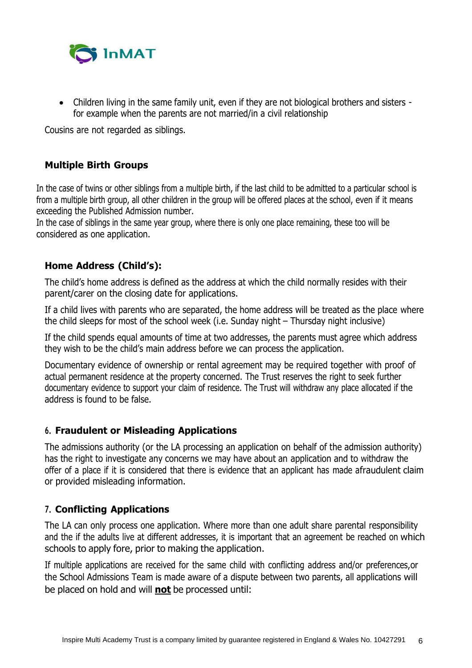

• Children living in the same family unit, even if they are not biological brothers and sisters for example when the parents are not married/in a civil relationship

Cousins are not regarded as siblings.

# **Multiple Birth Groups**

In the case of twins or other siblings from a multiple birth, if the last child to be admitted to a particular school is from a multiple birth group, all other children in the group will be offered places at the school, even if it means exceeding the Published Admission number.

In the case of siblings in the same year group, where there is only one place remaining, these too will be considered as one application.

#### **Home Address (Child's):**

The child's home address is defined as the address at which the child normally resides with their parent/carer on the closing date for applications.

If a child lives with parents who are separated, the home address will be treated as the place where the child sleeps for most of the school week (i.e. Sunday night – Thursday night inclusive)

If the child spends equal amounts of time at two addresses, the parents must agree which address they wish to be the child's main address before we can process the application.

Documentary evidence of ownership or rental agreement may be required together with proof of actual permanent residence at the property concerned. The Trust reserves the right to seek further documentary evidence to support your claim of residence. The Trust will withdraw any place allocated if the address is found to be false.

#### <span id="page-5-0"></span>**6. Fraudulent or Misleading Applications**

The admissions authority (or the LA processing an application on behalf of the admission authority) has the right to investigate any concerns we may have about an application and to withdraw the offer of a place if it is considered that there is evidence that an applicant has made afraudulent claim or provided misleading information.

# <span id="page-5-1"></span>**7. Conflicting Applications**

The LA can only process one application. Where more than one adult share parental responsibility and the if the adults live at different addresses, it is important that an agreement be reached on which schools to apply fore, prior to making the application.

If multiple applications are received for the same child with conflicting address and/or preferences,or the School Admissions Team is made aware of a dispute between two parents, all applications will be placed on hold and will **not** be processed until: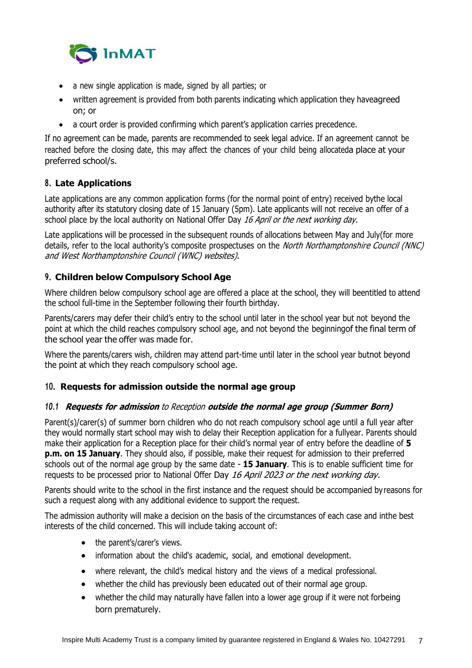

- a new single application is made, signed by all parties; or
- written agreement is provided from both parents indicating which application they haveagreed on; or
- a court order is provided confirming which parent's application carries precedence.

If no agreement can be made, parents are recommended to seek legal advice. If an agreement cannot be reached before the closing date, this may affect the chances of your child being allocateda place at your preferred school/s.

#### <span id="page-6-0"></span>**8. Late Applications**

Late applications are any common application forms (for the normal point of entry) received bythe local authority after its statutory closing date of 15 January (5pm). Late applicants will not receive an offer of a school place by the local authority on National Offer Day 16 April or the next working day.

Late applications will be processed in the subsequent rounds of allocations between May and July(for more details, refer to the local authority's composite prospectuses on the *North Northamptonshire Council (NNC)* and West Northamptonshire Council (WNC) websites).

#### <span id="page-6-1"></span>**9. Children below Compulsory School Age**

Where children below compulsory school age are offered a place at the school, they will beentitled to attend the school full-time in the September following their fourth birthday.

Parents/carers may defer their child's entry to the school until later in the school year but not beyond the point at which the child reaches compulsory school age, and not beyond the beginningof the final term of the school year the offer was made for.

Where the parents/carers wish, children may attend part-time until later in the school year butnot beyond the point at which they reach compulsory school age.

#### <span id="page-6-2"></span>**10. Requests for admission outside the normal age group**

#### <span id="page-6-3"></span>*10.1* **Requests for admission** to Reception **outside the normal age group (Summer Born)**

Parent(s)/carer(s) of summer born children who do not reach compulsory school age until a full year after they would normally start school may wish to delay their Reception application for a fullyear. Parents should make their application for a Reception place for their child's normal year of entry before the deadline of **5 p.m. on 15 January**. They should also, if possible, make their request for admission to their preferred schools out of the normal age group by the same date - **15 January**. This is to enable sufficient time for requests to be processed prior to National Offer Day 16 April 2023 or the next working day.

Parents should write to the school in the first instance and the request should be accompanied byreasons for such a request along with any additional evidence to support the request.

The admission authority will make a decision on the basis of the circumstances of each case and inthe best interests of the child concerned. This will include taking account of:

- the parent's/carer's views.
- information about the child's academic, social, and emotional development.
- where relevant, the child's medical history and the views of a medical professional.
- whether the child has previously been educated out of their normal age group.
- whether the child may naturally have fallen into a lower age group if it were not forbeing born prematurely.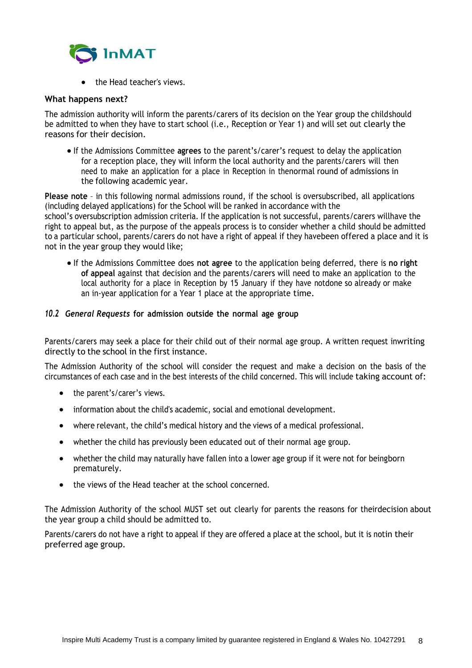

• the Head teacher's views.

#### **What happens next?**

The admission authority will inform the parents/carers of its decision on the Year group the childshould be admitted to when they have to start school (i.e., Reception or Year 1) and will set out clearly the reasons for their decision.

• If the Admissions Committee **agrees** to the parent's/carer's request to delay the application for a reception place, they will inform the local authority and the parents/carers will then need to make an application for a place in Reception in thenormal round of admissions in the following academic year.

**Please note** – in this following normal admissions round, if the school is oversubscribed, all applications (including delayed applications) for the School will be ranked in accordance with the school's oversubscription admission criteria. If the application is not successful, parents/carers willhave the right to appeal but, as the purpose of the appeals process is to consider whether a child should be admitted to a particular school, parents/carers do not have a right of appeal if they havebeen offered a place and it is not in the year group they would like;

• If the Admissions Committee does **not agree** to the application being deferred, there is **no right of appeal** against that decision and the parents/carers will need to make an application to the local authority for a place in Reception by 15 January if they have notdone so already or make an in-year application for a Year 1 place at the appropriate time.

#### <span id="page-7-0"></span>*10.2 General Requests* **for admission outside the normal age group**

Parents/carers may seek a place for their child out of their normal age group. A written request inwriting directly to the school in the first instance.

The Admission Authority of the school will consider the request and make a decision on the basis of the circumstances of each case and in the best interests of the child concerned. This will include taking account of:

- the parent's/carer's views.
- information about the child's academic, social and emotional development.
- where relevant, the child's medical history and the views of a medical professional.
- whether the child has previously been educated out of their normal age group.
- whether the child may naturally have fallen into a lower age group if it were not for beingborn prematurely.
- the views of the Head teacher at the school concerned.

The Admission Authority of the school MUST set out clearly for parents the reasons for theirdecision about the year group a child should be admitted to.

Parents/carers do not have a right to appeal if they are offered a place at the school, but it is notin their preferred age group.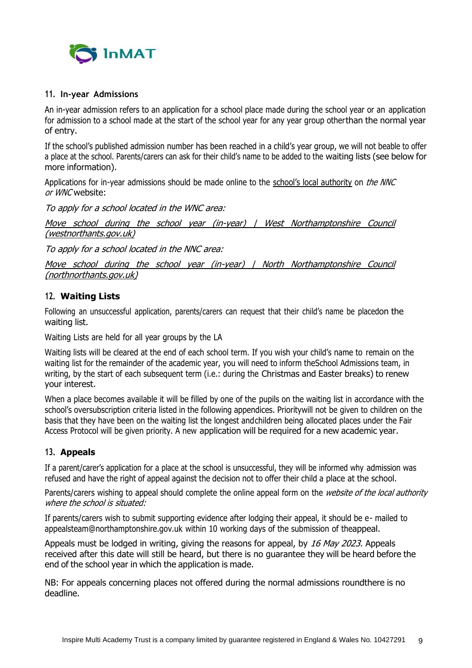

#### <span id="page-8-0"></span>**11. In-year Admissions**

An in-year admission refers to an application for a school place made during the school year or an application for admission to a school made at the start of the school year for any year group otherthan the normal year of entry.

If the school's published admission number has been reached in a child's year group, we will not beable to offer a place at the school. Parents/carers can ask for their child's name to be added to the waiting lists (see below for more information).

Applications for in-year admissions should be made online to the school's local authority on *the NNC* or WNC website:

To apply for a school located in the WNC area:

[Move school during the school year \(in-year\) | West Northamptonshire Council](https://www.westnorthants.gov.uk/move-school-during-school-year-year)  [\(westnorthants.gov.uk\)](https://www.westnorthants.gov.uk/move-school-during-school-year-year)

To apply for a school located in the NNC area:

Move school during the school year (in-year) | North Northamptonshire Council [\(northnorthants.gov.uk\)](https://www.northnorthants.gov.uk/move-school-during-school-year-year)

#### <span id="page-8-1"></span>**12. Waiting Lists**

Following an unsuccessful application, parents/carers can request that their child's name be placedon the waiting list.

Waiting Lists are held for all year groups by the LA

Waiting lists will be cleared at the end of each school term. If you wish your child's name to remain on the waiting list for the remainder of the academic year, you will need to inform theSchool Admissions team, in writing, by the start of each subsequent term (i.e.: during the Christmas and Easter breaks) to renew your interest.

When a place becomes available it will be filled by one of the pupils on the waiting list in accordance with the school's oversubscription criteria listed in the following appendices. Prioritywill not be given to children on the basis that they have been on the waiting list the longest andchildren being allocated places under the Fair Access Protocol will be given priority. A new application will be required for a new academic year.

#### <span id="page-8-2"></span>**13. Appeals**

If a parent/carer's application for a place at the school is unsuccessful, they will be informed why admission was refused and have the right of appeal against the decision not to offer their child a place at the school.

Parents/carers wishing to appeal should complete the online appeal form on the *website of the local authority* where the school is situated:

If parents/carers wish to submit supporting evidence after lodging their appeal, it should be e- mailed to [appealsteam@northamptonshire.gov.uk](mailto:appealsteam@northamptonshire.gov.uk) within 10 working days of the submission of theappeal.

Appeals must be lodged in writing, giving the reasons for appeal, by 16 May 2023. Appeals received after this date will still be heard, but there is no guarantee they will be heard before the end of the school year in which the application is made.

NB: For appeals concerning places not offered during the normal admissions roundthere is no deadline.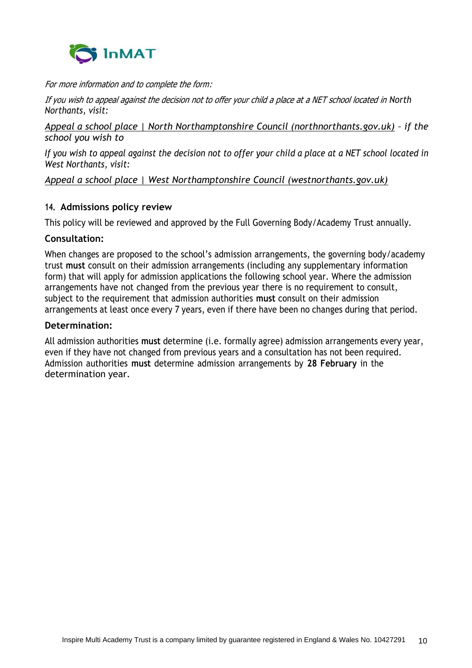

For more information and to complete the form:

If you wish to appeal against the decision not to offer your child a place at a NET school located in *North Northants, visit:*

*[Appeal a school place | North Northamptonshire Council \(northnorthants.gov.uk\)](https://www.northnorthants.gov.uk/school-admissions/appeal-school-place) – if the school you wish to* 

*If you wish to appeal against the decision not to offer your child a place at a NET school located in West Northants, visit:*

*[Appeal a school place | West Northamptonshire Council \(westnorthants.gov.uk\)](https://www.westnorthants.gov.uk/school-admissions/appeal-school-place)*

#### <span id="page-9-0"></span>**14. Admissions policy review**

This policy will be reviewed and approved by the Full Governing Body/Academy Trust annually.

#### **Consultation:**

When changes are proposed to the school's admission arrangements, the governing body/academy trust **must** consult on their admission arrangements (including any supplementary information form) that will apply for admission applications the following school year. Where the admission arrangements have not changed from the previous year there is no requirement to consult, subject to the requirement that admission authorities **must** consult on their admission arrangements at least once every 7 years, even if there have been no changes during that period.

#### **Determination:**

All admission authorities **must** determine (i.e. formally agree) admission arrangements every year, even if they have not changed from previous years and a consultation has not been required. Admission authorities **must** determine admission arrangements by **28 February** in the determination year.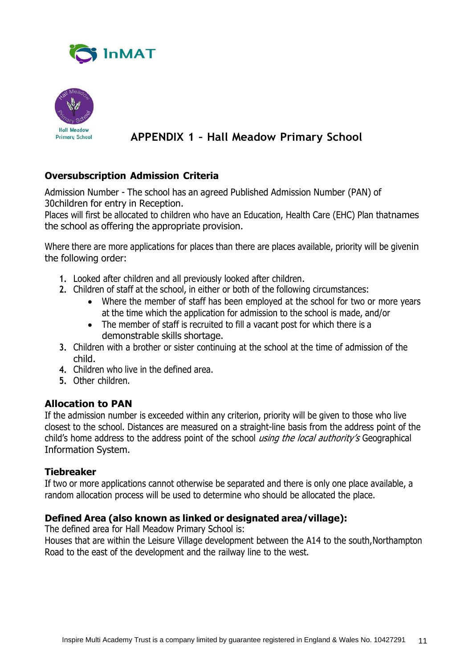



# **APPENDIX 1 – Hall Meadow Primary School**

# **Oversubscription Admission Criteria**

Admission Number - The school has an agreed Published Admission Number (PAN) of 30children for entry in Reception.

Places will first be allocated to children who have an Education, Health Care (EHC) Plan thatnames the school as offering the appropriate provision.

Where there are more applications for places than there are places available, priority will be givenin the following order:

- **1.** Looked after children and all previously looked after children.
- **2.** Children of staff at the school, in either or both of the following circumstances:
	- Where the member of staff has been employed at the school for two or more years at the time which the application for admission to the school is made, and/or
	- The member of staff is recruited to fill a vacant post for which there is a demonstrable skills shortage.
- **3.** Children with a brother or sister continuing at the school at the time of admission of the child.
- **4.** Children who live in the defined area.
- **5.** Other children.

# **Allocation to PAN**

If the admission number is exceeded within any criterion, priority will be given to those who live closest to the school. Distances are measured on a straight-line basis from the address point of the child's home address to the address point of the school *using the local authority's* Geographical Information System.

#### **Tiebreaker**

If two or more applications cannot otherwise be separated and there is only one place available, a random allocation process will be used to determine who should be allocated the place.

# **Defined Area (also known as linked or designated area/village):**

The defined area for Hall Meadow Primary School is:

Houses that are within the Leisure Village development between the A14 to the south, Northampton Road to the east of the development and the railway line to the west.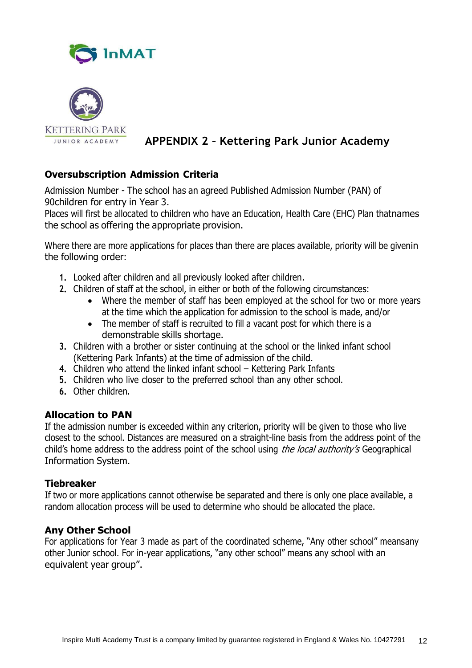



# **APPENDIX 2 – Kettering Park Junior Academy**

# **Oversubscription Admission Criteria**

Admission Number - The school has an agreed Published Admission Number (PAN) of 90children for entry in Year 3.

Places will first be allocated to children who have an Education, Health Care (EHC) Plan thatnames the school as offering the appropriate provision.

Where there are more applications for places than there are places available, priority will be givenin the following order:

- **1.** Looked after children and all previously looked after children.
- **2.** Children of staff at the school, in either or both of the following circumstances:
	- Where the member of staff has been employed at the school for two or more years at the time which the application for admission to the school is made, and/or
	- The member of staff is recruited to fill a vacant post for which there is a demonstrable skills shortage.
- **3.** Children with a brother or sister continuing at the school or the linked infant school (Kettering Park Infants) at the time of admission of the child.
- **4.** Children who attend the linked infant school Kettering Park Infants
- **5.** Children who live closer to the preferred school than any other school.
- **6.** Other children.

# **Allocation to PAN**

If the admission number is exceeded within any criterion, priority will be given to those who live closest to the school. Distances are measured on a straight-line basis from the address point of the child's home address to the address point of the school using *the local authority's* Geographical Information System.

# **Tiebreaker**

If two or more applications cannot otherwise be separated and there is only one place available, a random allocation process will be used to determine who should be allocated the place.

#### **Any Other School**

For applications for Year 3 made as part of the coordinated scheme, "Any other school" meansany other Junior school. For in-year applications, "any other school" means any school with an equivalent year group".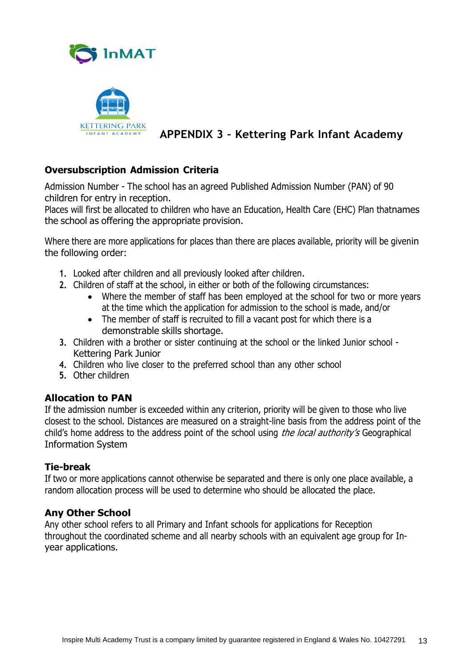



# **APPENDIX 3 – Kettering Park Infant Academy**

# **Oversubscription Admission Criteria**

Admission Number - The school has an agreed Published Admission Number (PAN) of 90 children for entry in reception.

Places will first be allocated to children who have an Education, Health Care (EHC) Plan thatnames the school as offering the appropriate provision.

Where there are more applications for places than there are places available, priority will be givenin the following order:

- **1.** Looked after children and all previously looked after children.
- **2.** Children of staff at the school, in either or both of the following circumstances:
	- Where the member of staff has been employed at the school for two or more years at the time which the application for admission to the school is made, and/or
	- The member of staff is recruited to fill a vacant post for which there is a demonstrable skills shortage.
- **3.** Children with a brother or sister continuing at the school or the linked Junior school Kettering Park Junior
- **4.** Children who live closer to the preferred school than any other school
- **5.** Other children

# **Allocation to PAN**

If the admission number is exceeded within any criterion, priority will be given to those who live closest to the school. Distances are measured on a straight-line basis from the address point of the child's home address to the address point of the school using *the local authority's* Geographical Information System

#### **Tie-break**

If two or more applications cannot otherwise be separated and there is only one place available, a random allocation process will be used to determine who should be allocated the place.

# **Any Other School**

Any other school refers to all Primary and Infant schools for applications for Reception throughout the coordinated scheme and all nearby schools with an equivalent age group for Inyear applications.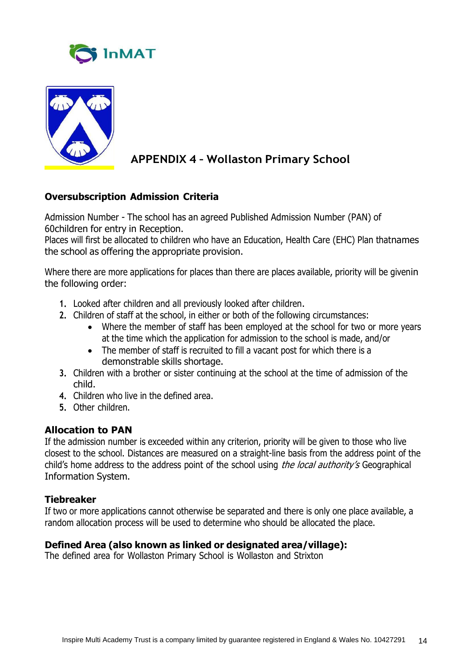



# **APPENDIX 4 – Wollaston Primary School**

# **Oversubscription Admission Criteria**

Admission Number - The school has an agreed Published Admission Number (PAN) of 60children for entry in Reception.

Places will first be allocated to children who have an Education, Health Care (EHC) Plan thatnames the school as offering the appropriate provision.

Where there are more applications for places than there are places available, priority will be givenin the following order:

- **1.** Looked after children and all previously looked after children.
- **2.** Children of staff at the school, in either or both of the following circumstances:
	- Where the member of staff has been employed at the school for two or more years at the time which the application for admission to the school is made, and/or
	- The member of staff is recruited to fill a vacant post for which there is a demonstrable skills shortage.
- **3.** Children with a brother or sister continuing at the school at the time of admission of the child.
- **4.** Children who live in the defined area.
- **5.** Other children.

# **Allocation to PAN**

If the admission number is exceeded within any criterion, priority will be given to those who live closest to the school. Distances are measured on a straight-line basis from the address point of the child's home address to the address point of the school using *the local authority's* Geographical Information System.

# **Tiebreaker**

If two or more applications cannot otherwise be separated and there is only one place available, a random allocation process will be used to determine who should be allocated the place.

# **Defined Area (also known as linked or designated area/village):**

The defined area for Wollaston Primary School is Wollaston and Strixton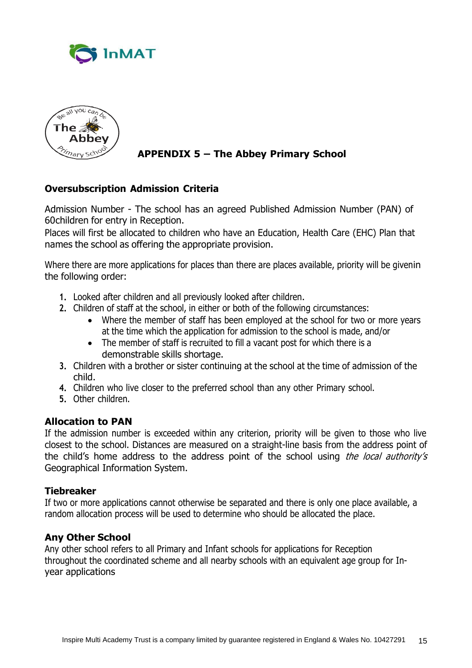



# **APPENDIX 5 – The Abbey Primary School**

# **Oversubscription Admission Criteria**

Admission Number - The school has an agreed Published Admission Number (PAN) of 60children for entry in Reception.

Places will first be allocated to children who have an Education, Health Care (EHC) Plan that names the school as offering the appropriate provision.

Where there are more applications for places than there are places available, priority will be givenin the following order:

- **1.** Looked after children and all previously looked after children.
- **2.** Children of staff at the school, in either or both of the following circumstances:
	- Where the member of staff has been employed at the school for two or more years at the time which the application for admission to the school is made, and/or
	- The member of staff is recruited to fill a vacant post for which there is a demonstrable skills shortage.
- **3.** Children with a brother or sister continuing at the school at the time of admission of the child.
- **4.** Children who live closer to the preferred school than any other Primary school.
- **5.** Other children.

# **Allocation to PAN**

If the admission number is exceeded within any criterion, priority will be given to those who live closest to the school. Distances are measured on a straight-line basis from the address point of the child's home address to the address point of the school using the local authority's Geographical Information System.

#### **Tiebreaker**

If two or more applications cannot otherwise be separated and there is only one place available, a random allocation process will be used to determine who should be allocated the place.

# **Any Other School**

Any other school refers to all Primary and Infant schools for applications for Reception throughout the coordinated scheme and all nearby schools with an equivalent age group for Inyear applications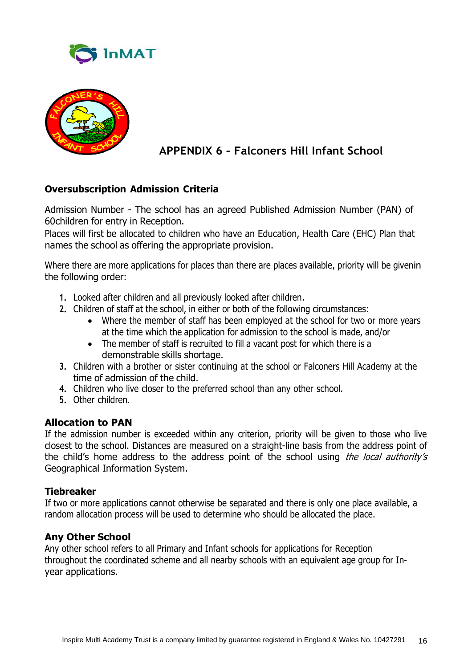



# **APPENDIX 6 – Falconers Hill Infant School**

# **Oversubscription Admission Criteria**

Admission Number - The school has an agreed Published Admission Number (PAN) of 60children for entry in Reception.

Places will first be allocated to children who have an Education, Health Care (EHC) Plan that names the school as offering the appropriate provision.

Where there are more applications for places than there are places available, priority will be givenin the following order:

- **1.** Looked after children and all previously looked after children.
- **2.** Children of staff at the school, in either or both of the following circumstances:
	- Where the member of staff has been employed at the school for two or more years at the time which the application for admission to the school is made, and/or
	- The member of staff is recruited to fill a vacant post for which there is a demonstrable skills shortage.
- **3.** Children with a brother or sister continuing at the school or Falconers Hill Academy at the time of admission of the child.
- **4.** Children who live closer to the preferred school than any other school.
- **5.** Other children.

# **Allocation to PAN**

If the admission number is exceeded within any criterion, priority will be given to those who live closest to the school. Distances are measured on a straight-line basis from the address point of the child's home address to the address point of the school using the local authority's Geographical Information System.

#### **Tiebreaker**

If two or more applications cannot otherwise be separated and there is only one place available, a random allocation process will be used to determine who should be allocated the place.

# **Any Other School**

Any other school refers to all Primary and Infant schools for applications for Reception throughout the coordinated scheme and all nearby schools with an equivalent age group for Inyear applications.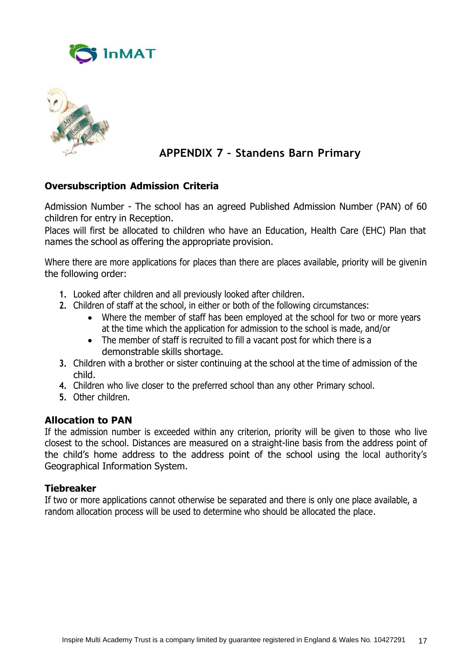



# **APPENDIX 7 – Standens Barn Primary**

# **Oversubscription Admission Criteria**

Admission Number - The school has an agreed Published Admission Number (PAN) of 60 children for entry in Reception.

Places will first be allocated to children who have an Education, Health Care (EHC) Plan that names the school as offering the appropriate provision.

Where there are more applications for places than there are places available, priority will be givenin the following order:

- **1.** Looked after children and all previously looked after children.
- **2.** Children of staff at the school, in either or both of the following circumstances:
	- Where the member of staff has been employed at the school for two or more years at the time which the application for admission to the school is made, and/or
	- The member of staff is recruited to fill a vacant post for which there is a demonstrable skills shortage.
- **3.** Children with a brother or sister continuing at the school at the time of admission of the child.
- **4.** Children who live closer to the preferred school than any other Primary school.
- **5.** Other children.

#### **Allocation to PAN**

If the admission number is exceeded within any criterion, priority will be given to those who live closest to the school. Distances are measured on a straight-line basis from the address point of the child's home address to the address point of the school using the local authority's Geographical Information System.

#### **Tiebreaker**

If two or more applications cannot otherwise be separated and there is only one place available, a random allocation process will be used to determine who should be allocated the place.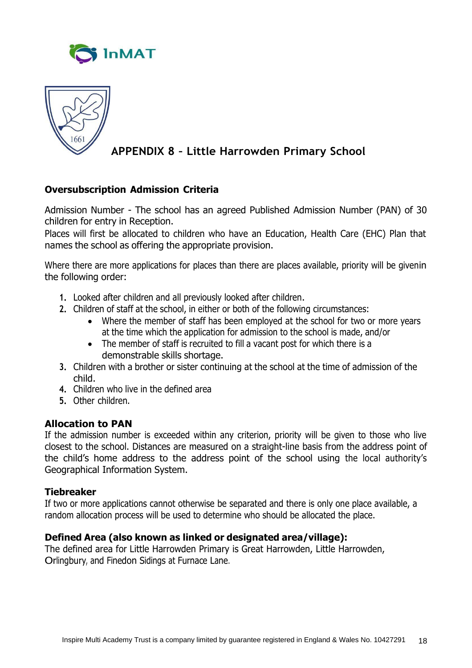



# **APPENDIX 8 – Little Harrowden Primary School**

# **Oversubscription Admission Criteria**

Admission Number - The school has an agreed Published Admission Number (PAN) of 30 children for entry in Reception.

Places will first be allocated to children who have an Education, Health Care (EHC) Plan that names the school as offering the appropriate provision.

Where there are more applications for places than there are places available, priority will be givenin the following order:

- **1.** Looked after children and all previously looked after children.
- **2.** Children of staff at the school, in either or both of the following circumstances:
	- Where the member of staff has been employed at the school for two or more years at the time which the application for admission to the school is made, and/or
	- The member of staff is recruited to fill a vacant post for which there is a demonstrable skills shortage.
- **3.** Children with a brother or sister continuing at the school at the time of admission of the child.
- **4.** Children who live in the defined area
- **5.** Other children.

# **Allocation to PAN**

If the admission number is exceeded within any criterion, priority will be given to those who live closest to the school. Distances are measured on a straight-line basis from the address point of the child's home address to the address point of the school using the local authority's Geographical Information System.

#### **Tiebreaker**

If two or more applications cannot otherwise be separated and there is only one place available, a random allocation process will be used to determine who should be allocated the place.

# **Defined Area (also known as linked or designated area/village):**

The defined area for Little Harrowden Primary is Great Harrowden, Little Harrowden, Orlingbury, and Finedon Sidings at Furnace Lane.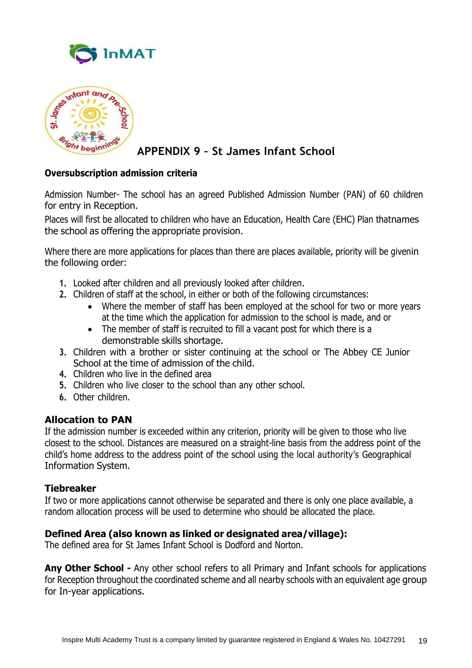



# **APPENDIX 9 – St James Infant School**

#### **Oversubscription admission criteria**

Admission Number- The school has an agreed Published Admission Number (PAN) of 60 children for entry in Reception.

Places will first be allocated to children who have an Education, Health Care (EHC) Plan thatnames the school as offering the appropriate provision.

Where there are more applications for places than there are places available, priority will be givenin the following order:

- **1.** Looked after children and all previously looked after children.
- **2.** Children of staff at the school, in either or both of the following circumstances:
	- Where the member of staff has been employed at the school for two or more years at the time which the application for admission to the school is made, and or
	- The member of staff is recruited to fill a vacant post for which there is a demonstrable skills shortage.
- **3.** Children with a brother or sister continuing at the school or The Abbey CE Junior School at the time of admission of the child.
- **4.** Children who live in the defined area
- **5.** Children who live closer to the school than any other school.
- **6.** Other children.

# **Allocation to PAN**

If the admission number is exceeded within any criterion, priority will be given to those who live closest to the school. Distances are measured on a straight-line basis from the address point of the child's home address to the address point of the school using the local authority's Geographical Information System.

#### **Tiebreaker**

If two or more applications cannot otherwise be separated and there is only one place available, a random allocation process will be used to determine who should be allocated the place.

# **Defined Area (also known as linked or designated area/village):**

The defined area for St James Infant School is Dodford and Norton.

**Any Other School -** Any other school refers to all Primary and Infant schools for applications for Reception throughout the coordinated scheme and all nearby schools with an equivalent age group for In-year applications.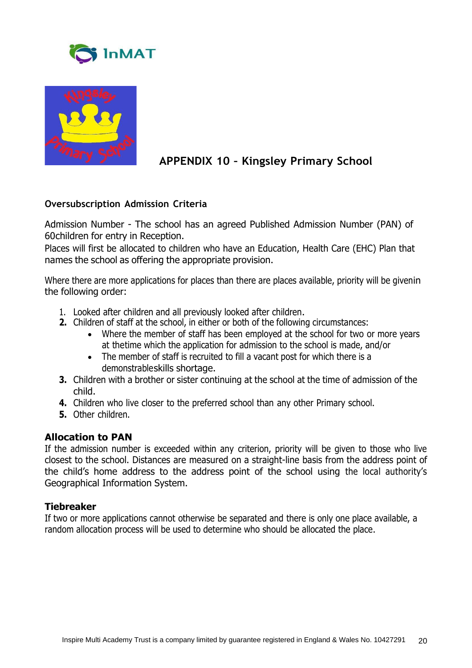



# **APPENDIX 10 – Kingsley Primary School**

#### **Oversubscription Admission Criteria**

Admission Number - The school has an agreed Published Admission Number (PAN) of 60children for entry in Reception.

Places will first be allocated to children who have an Education, Health Care (EHC) Plan that names the school as offering the appropriate provision.

Where there are more applications for places than there are places available, priority will be givenin the following order:

- 1. Looked after children and all previously looked after children.
- **2.** Children of staff at the school, in either or both of the following circumstances:
	- Where the member of staff has been employed at the school for two or more years at thetime which the application for admission to the school is made, and/or
	- The member of staff is recruited to fill a vacant post for which there is a demonstrableskills shortage.
- **3.** Children with a brother or sister continuing at the school at the time of admission of the child.
- **4.** Children who live closer to the preferred school than any other Primary school.
- **5.** Other children.

# **Allocation to PAN**

If the admission number is exceeded within any criterion, priority will be given to those who live closest to the school. Distances are measured on a straight-line basis from the address point of the child's home address to the address point of the school using the local authority's Geographical Information System.

# **Tiebreaker**

If two or more applications cannot otherwise be separated and there is only one place available, a random allocation process will be used to determine who should be allocated the place.